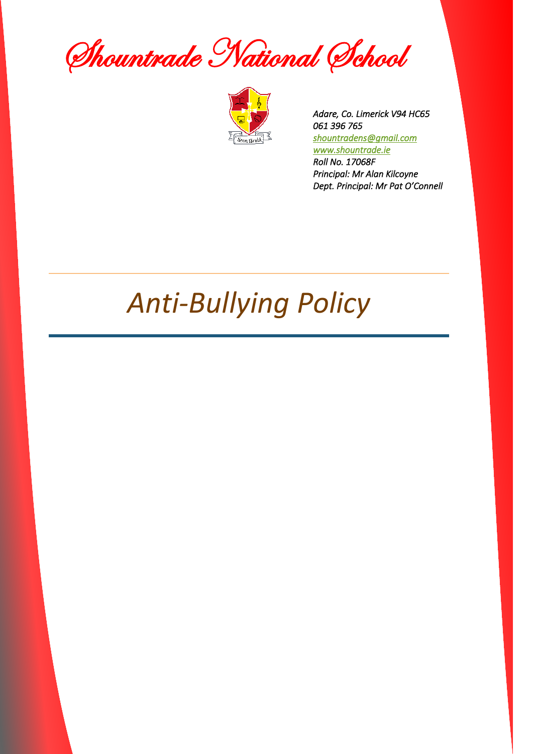Shountrade National School



*Adare, Co. Limerick V94 HC65 061 396 765 [shountradens@gmail.com](mailto:shountradens@gmail.com)  [www.shountrade.ie](http://www.shountrade.ie/)  Roll No. 17068F Principal: Mr Alan Kilcoyne Dept. Principal: Mr Pat O'Connell* 

# *Anti-Bullying Policy*

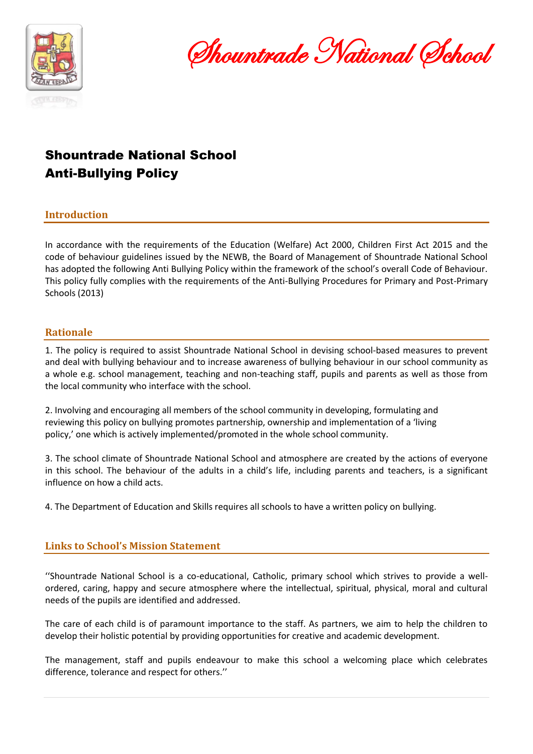

Shountrade National School

# Shountrade National School Anti-Bullying Policy

# **Introduction**

In accordance with the requirements of the Education (Welfare) Act 2000, Children First Act 2015 and the code of behaviour guidelines issued by the NEWB, the Board of Management of Shountrade National School has adopted the following Anti Bullying Policy within the framework of the school's overall Code of Behaviour. This policy fully complies with the requirements of the Anti-Bullying Procedures for Primary and Post-Primary Schools (2013)

## **Rationale**

1. The policy is required to assist Shountrade National School in devising school-based measures to prevent and deal with bullying behaviour and to increase awareness of bullying behaviour in our school community as a whole e.g. school management, teaching and non-teaching staff, pupils and parents as well as those from the local community who interface with the school.

2. Involving and encouraging all members of the school community in developing, formulating and reviewing this policy on bullying promotes partnership, ownership and implementation of a 'living policy,' one which is actively implemented/promoted in the whole school community.

3. The school climate of Shountrade National School and atmosphere are created by the actions of everyone in this school. The behaviour of the adults in a child's life, including parents and teachers, is a significant influence on how a child acts.

4. The Department of Education and Skills requires all schools to have a written policy on bullying.

# **Links to School's Mission Statement**

''Shountrade National School is a co-educational, Catholic, primary school which strives to provide a wellordered, caring, happy and secure atmosphere where the intellectual, spiritual, physical, moral and cultural needs of the pupils are identified and addressed.

The care of each child is of paramount importance to the staff. As partners, we aim to help the children to develop their holistic potential by providing opportunities for creative and academic development.

The management, staff and pupils endeavour to make this school a welcoming place which celebrates difference, tolerance and respect for others.''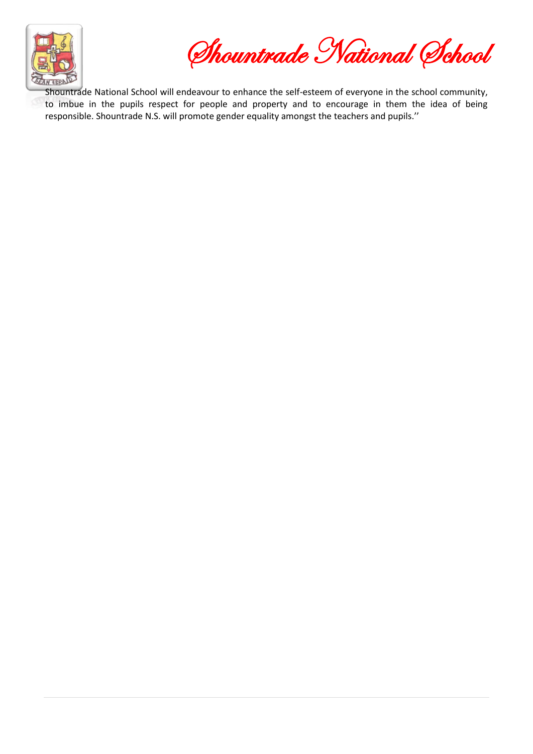

Shountrade National School

Shountrade National School will endeavour to enhance the self-esteem of everyone in the school community, to imbue in the pupils respect for people and property and to encourage in them the idea of being responsible. Shountrade N.S. will promote gender equality amongst the teachers and pupils.''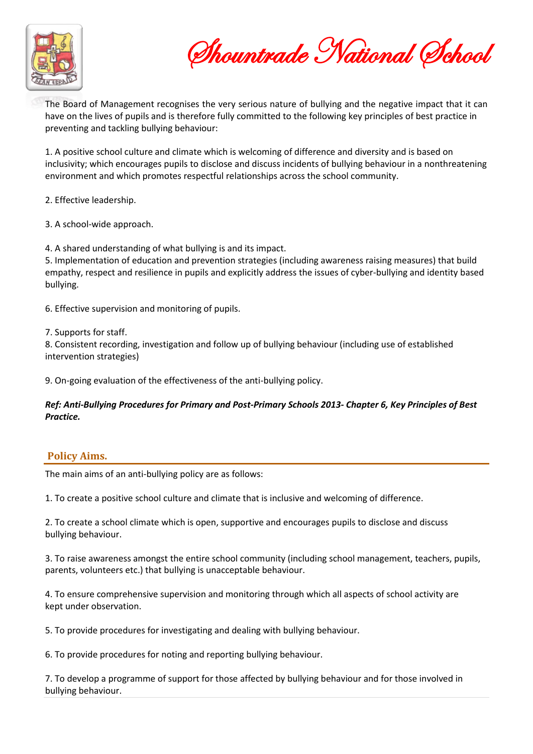

Shountrade National School

The Board of Management recognises the very serious nature of bullying and the negative impact that it can have on the lives of pupils and is therefore fully committed to the following key principles of best practice in preventing and tackling bullying behaviour:

1. A positive school culture and climate which is welcoming of difference and diversity and is based on inclusivity; which encourages pupils to disclose and discuss incidents of bullying behaviour in a nonthreatening environment and which promotes respectful relationships across the school community.

2. Effective leadership.

3. A school-wide approach.

4. A shared understanding of what bullying is and its impact.

5. Implementation of education and prevention strategies (including awareness raising measures) that build empathy, respect and resilience in pupils and explicitly address the issues of cyber-bullying and identity based bullying.

6. Effective supervision and monitoring of pupils.

7. Supports for staff.

8. Consistent recording, investigation and follow up of bullying behaviour (including use of established intervention strategies)

9. On-going evaluation of the effectiveness of the anti-bullying policy.

#### *Ref: Anti-Bullying Procedures for Primary and Post-Primary Schools 2013- Chapter 6, Key Principles of Best Practice.*

#### **Policy Aims.**

The main aims of an anti-bullying policy are as follows:

1. To create a positive school culture and climate that is inclusive and welcoming of difference.

2. To create a school climate which is open, supportive and encourages pupils to disclose and discuss bullying behaviour.

3. To raise awareness amongst the entire school community (including school management, teachers, pupils, parents, volunteers etc.) that bullying is unacceptable behaviour.

4. To ensure comprehensive supervision and monitoring through which all aspects of school activity are kept under observation.

5. To provide procedures for investigating and dealing with bullying behaviour.

6. To provide procedures for noting and reporting bullying behaviour.

7. To develop a programme of support for those affected by bullying behaviour and for those involved in bullying behaviour.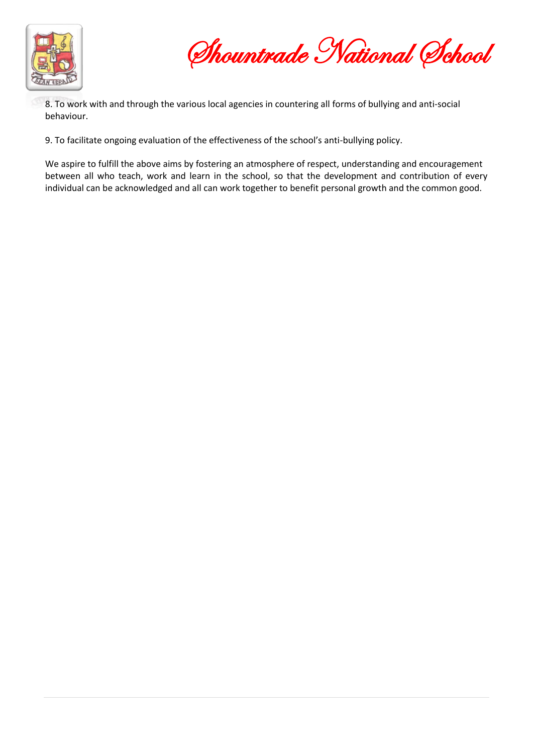

Shountrade National School

- 8. To work with and through the various local agencies in countering all forms of bullying and anti-social behaviour.
- 9. To facilitate ongoing evaluation of the effectiveness of the school's anti-bullying policy.

We aspire to fulfill the above aims by fostering an atmosphere of respect, understanding and encouragement between all who teach, work and learn in the school, so that the development and contribution of every individual can be acknowledged and all can work together to benefit personal growth and the common good.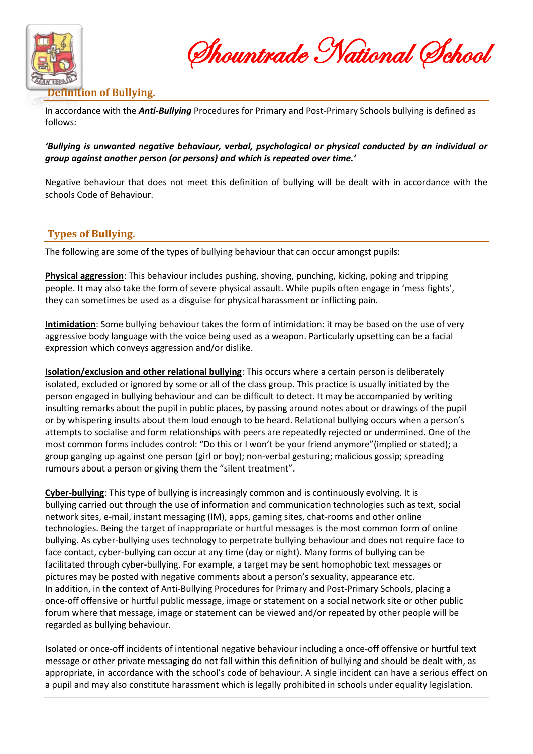

Shountrade National School

# **Definition of Bullying.**

In accordance with the *Anti-Bullying* Procedures for Primary and Post-Primary Schools bullying is defined as follows:

#### *'Bullying is unwanted negative behaviour, verbal, psychological or physical conducted by an individual or group against another person (or persons) and which is repeated over time.'*

Negative behaviour that does not meet this definition of bullying will be dealt with in accordance with the schools Code of Behaviour.

# **Types of Bullying.**

The following are some of the types of bullying behaviour that can occur amongst pupils:

**Physical aggression**: This behaviour includes pushing, shoving, punching, kicking, poking and tripping people. It may also take the form of severe physical assault. While pupils often engage in 'mess fights', they can sometimes be used as a disguise for physical harassment or inflicting pain.

**Intimidation**: Some bullying behaviour takes the form of intimidation: it may be based on the use of very aggressive body language with the voice being used as a weapon. Particularly upsetting can be a facial expression which conveys aggression and/or dislike.

**Isolation/exclusion and other relational bullying**: This occurs where a certain person is deliberately isolated, excluded or ignored by some or all of the class group. This practice is usually initiated by the person engaged in bullying behaviour and can be difficult to detect. It may be accompanied by writing insulting remarks about the pupil in public places, by passing around notes about or drawings of the pupil or by whispering insults about them loud enough to be heard. Relational bullying occurs when a person's attempts to socialise and form relationships with peers are repeatedly rejected or undermined. One of the most common forms includes control: "Do this or I won't be your friend anymore"(implied or stated); a group ganging up against one person (girl or boy); non-verbal gesturing; malicious gossip; spreading rumours about a person or giving them the "silent treatment".

**Cyber-bullying**: This type of bullying is increasingly common and is continuously evolving. It is bullying carried out through the use of information and communication technologies such as text, social network sites, e-mail, instant messaging (IM), apps, gaming sites, chat-rooms and other online technologies. Being the target of inappropriate or hurtful messages is the most common form of online bullying. As cyber-bullying uses technology to perpetrate bullying behaviour and does not require face to face contact, cyber-bullying can occur at any time (day or night). Many forms of bullying can be facilitated through cyber-bullying. For example, a target may be sent homophobic text messages or pictures may be posted with negative comments about a person's sexuality, appearance etc. In addition, in the context of Anti-Bullying Procedures for Primary and Post-Primary Schools, placing a once-off offensive or hurtful public message, image or statement on a social network site or other public forum where that message, image or statement can be viewed and/or repeated by other people will be regarded as bullying behaviour.

Isolated or once-off incidents of intentional negative behaviour including a once-off offensive or hurtful text message or other private messaging do not fall within this definition of bullying and should be dealt with, as appropriate, in accordance with the school's code of behaviour. A single incident can have a serious effect on a pupil and may also constitute harassment which is legally prohibited in schools under equality legislation.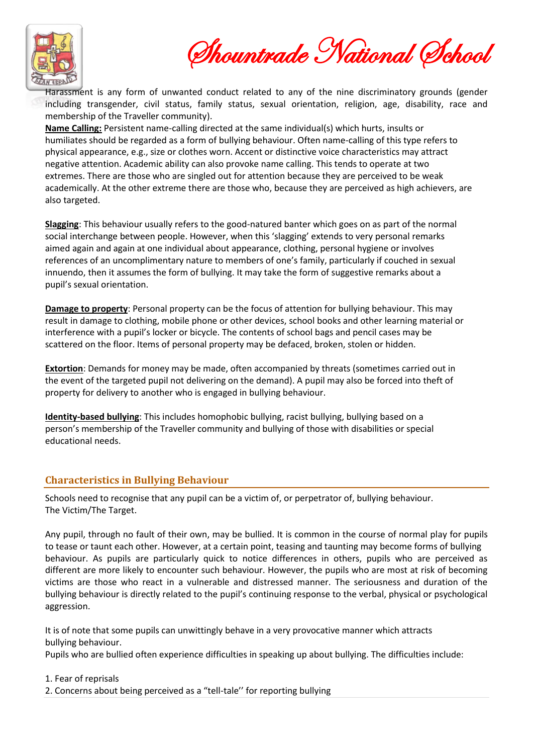

Shountrade National School

Harassment is any form of unwanted conduct related to any of the nine discriminatory grounds (gender including transgender, civil status, family status, sexual orientation, religion, age, disability, race and membership of the Traveller community).

**Name Calling:** Persistent name-calling directed at the same individual(s) which hurts, insults or humiliates should be regarded as a form of bullying behaviour. Often name-calling of this type refers to physical appearance, e.g., size or clothes worn. Accent or distinctive voice characteristics may attract negative attention. Academic ability can also provoke name calling. This tends to operate at two extremes. There are those who are singled out for attention because they are perceived to be weak academically. At the other extreme there are those who, because they are perceived as high achievers, are also targeted.

**Slagging**: This behaviour usually refers to the good-natured banter which goes on as part of the normal social interchange between people. However, when this 'slagging' extends to very personal remarks aimed again and again at one individual about appearance, clothing, personal hygiene or involves references of an uncomplimentary nature to members of one's family, particularly if couched in sexual innuendo, then it assumes the form of bullying. It may take the form of suggestive remarks about a pupil's sexual orientation.

**Damage to property**: Personal property can be the focus of attention for bullying behaviour. This may result in damage to clothing, mobile phone or other devices, school books and other learning material or interference with a pupil's locker or bicycle. The contents of school bags and pencil cases may be scattered on the floor. Items of personal property may be defaced, broken, stolen or hidden.

**Extortion**: Demands for money may be made, often accompanied by threats (sometimes carried out in the event of the targeted pupil not delivering on the demand). A pupil may also be forced into theft of property for delivery to another who is engaged in bullying behaviour.

**Identity-based bullying**: This includes homophobic bullying, racist bullying, bullying based on a person's membership of the Traveller community and bullying of those with disabilities or special educational needs.

# **Characteristics in Bullying Behaviour**

Schools need to recognise that any pupil can be a victim of, or perpetrator of, bullying behaviour. The Victim/The Target.

Any pupil, through no fault of their own, may be bullied. It is common in the course of normal play for pupils to tease or taunt each other. However, at a certain point, teasing and taunting may become forms of bullying behaviour. As pupils are particularly quick to notice differences in others, pupils who are perceived as different are more likely to encounter such behaviour. However, the pupils who are most at risk of becoming victims are those who react in a vulnerable and distressed manner. The seriousness and duration of the bullying behaviour is directly related to the pupil's continuing response to the verbal, physical or psychological aggression.

It is of note that some pupils can unwittingly behave in a very provocative manner which attracts bullying behaviour.

Pupils who are bullied often experience difficulties in speaking up about bullying. The difficulties include:

#### 1. Fear of reprisals

2. Concerns about being perceived as a "tell-tale'' for reporting bullying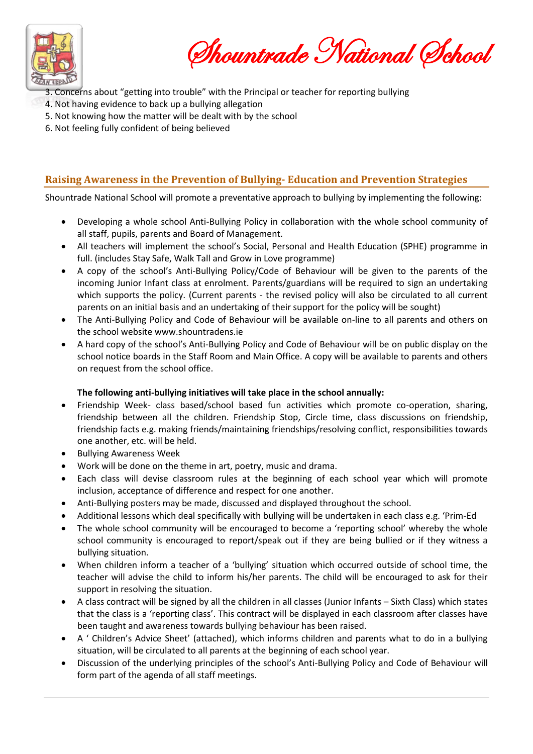

Shountrade National School

- 3. Concerns about "getting into trouble" with the Principal or teacher for reporting bullying
- 4. Not having evidence to back up a bullying allegation
- 5. Not knowing how the matter will be dealt with by the school
- 6. Not feeling fully confident of being believed

# **Raising Awareness in the Prevention of Bullying- Education and Prevention Strategies**

Shountrade National School will promote a preventative approach to bullying by implementing the following:

- Developing a whole school Anti-Bullying Policy in collaboration with the whole school community of all staff, pupils, parents and Board of Management.
- All teachers will implement the school's Social, Personal and Health Education (SPHE) programme in full. (includes Stay Safe, Walk Tall and Grow in Love programme)
- A copy of the school's Anti-Bullying Policy/Code of Behaviour will be given to the parents of the incoming Junior Infant class at enrolment. Parents/guardians will be required to sign an undertaking which supports the policy. (Current parents - the revised policy will also be circulated to all current parents on an initial basis and an undertaking of their support for the policy will be sought)
- The Anti-Bullying Policy and Code of Behaviour will be available on-line to all parents and others on the school website www.shountradens.ie
- A hard copy of the school's Anti-Bullying Policy and Code of Behaviour will be on public display on the school notice boards in the Staff Room and Main Office. A copy will be available to parents and others on request from the school office.

#### **The following anti-bullying initiatives will take place in the school annually:**

- Friendship Week- class based/school based fun activities which promote co-operation, sharing, friendship between all the children. Friendship Stop, Circle time, class discussions on friendship, friendship facts e.g. making friends/maintaining friendships/resolving conflict, responsibilities towards one another, etc. will be held.
- Bullying Awareness Week
- Work will be done on the theme in art, poetry, music and drama.
- Each class will devise classroom rules at the beginning of each school year which will promote inclusion, acceptance of difference and respect for one another.
- Anti-Bullying posters may be made, discussed and displayed throughout the school.
- Additional lessons which deal specifically with bullying will be undertaken in each class e.g. 'Prim-Ed
- The whole school community will be encouraged to become a 'reporting school' whereby the whole school community is encouraged to report/speak out if they are being bullied or if they witness a bullying situation.
- When children inform a teacher of a 'bullying' situation which occurred outside of school time, the teacher will advise the child to inform his/her parents. The child will be encouraged to ask for their support in resolving the situation.
- A class contract will be signed by all the children in all classes (Junior Infants Sixth Class) which states that the class is a 'reporting class'. This contract will be displayed in each classroom after classes have been taught and awareness towards bullying behaviour has been raised.
- A ' Children's Advice Sheet' (attached), which informs children and parents what to do in a bullying situation, will be circulated to all parents at the beginning of each school year.
- Discussion of the underlying principles of the school's Anti-Bullying Policy and Code of Behaviour will form part of the agenda of all staff meetings.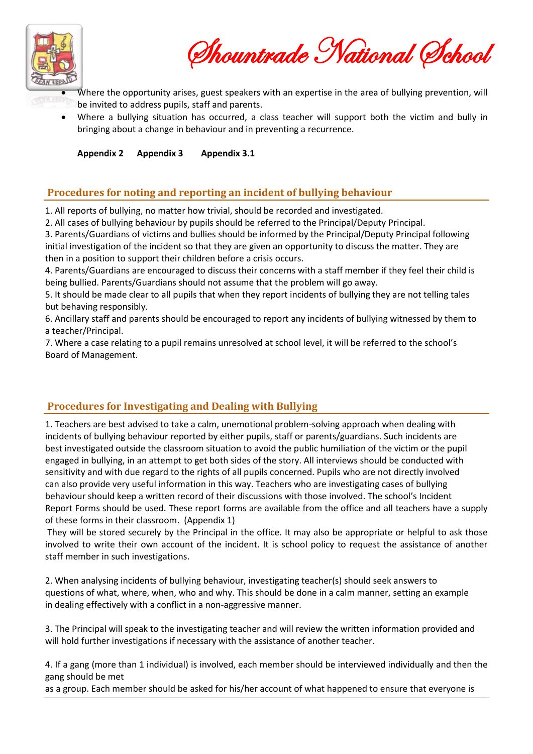

Shountrade National School

- Where the opportunity arises, guest speakers with an expertise in the area of bullying prevention, will be invited to address pupils, staff and parents.
- Where a bullying situation has occurred, a class teacher will support both the victim and bully in bringing about a change in behaviour and in preventing a recurrence.

**Appendix 2 Appendix 3 Appendix 3.1**

# **Procedures for noting and reporting an incident of bullying behaviour**

1. All reports of bullying, no matter how trivial, should be recorded and investigated.

2. All cases of bullying behaviour by pupils should be referred to the Principal/Deputy Principal.

3. Parents/Guardians of victims and bullies should be informed by the Principal/Deputy Principal following initial investigation of the incident so that they are given an opportunity to discuss the matter. They are then in a position to support their children before a crisis occurs.

4. Parents/Guardians are encouraged to discuss their concerns with a staff member if they feel their child is being bullied. Parents/Guardians should not assume that the problem will go away.

5. It should be made clear to all pupils that when they report incidents of bullying they are not telling tales but behaving responsibly.

6. Ancillary staff and parents should be encouraged to report any incidents of bullying witnessed by them to a teacher/Principal.

7. Where a case relating to a pupil remains unresolved at school level, it will be referred to the school's Board of Management.

# **Procedures for Investigating and Dealing with Bullying**

1. Teachers are best advised to take a calm, unemotional problem-solving approach when dealing with incidents of bullying behaviour reported by either pupils, staff or parents/guardians. Such incidents are best investigated outside the classroom situation to avoid the public humiliation of the victim or the pupil engaged in bullying, in an attempt to get both sides of the story. All interviews should be conducted with sensitivity and with due regard to the rights of all pupils concerned. Pupils who are not directly involved can also provide very useful information in this way. Teachers who are investigating cases of bullying behaviour should keep a written record of their discussions with those involved. The school's Incident Report Forms should be used. These report forms are available from the office and all teachers have a supply of these forms in their classroom. (Appendix 1)

They will be stored securely by the Principal in the office. It may also be appropriate or helpful to ask those involved to write their own account of the incident. It is school policy to request the assistance of another staff member in such investigations.

2. When analysing incidents of bullying behaviour, investigating teacher(s) should seek answers to questions of what, where, when, who and why. This should be done in a calm manner, setting an example in dealing effectively with a conflict in a non-aggressive manner.

3. The Principal will speak to the investigating teacher and will review the written information provided and will hold further investigations if necessary with the assistance of another teacher.

4. If a gang (more than 1 individual) is involved, each member should be interviewed individually and then the gang should be met

as a group. Each member should be asked for his/her account of what happened to ensure that everyone is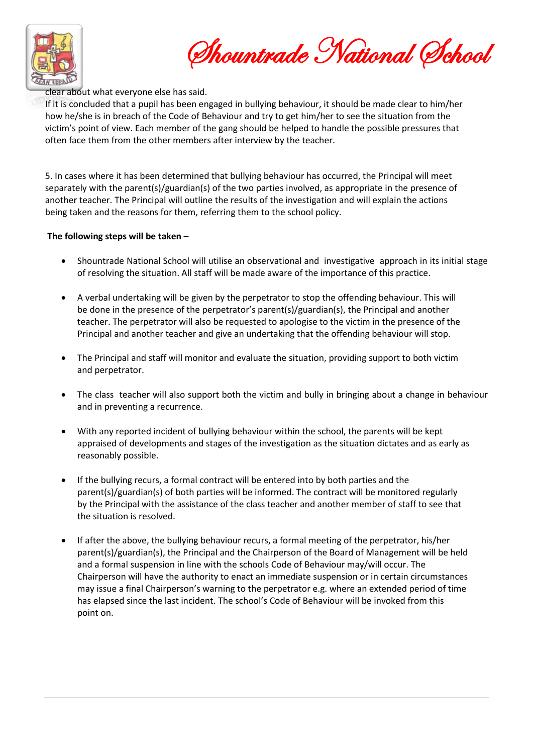

Shountrade National School

clear about what everyone else has said.

If it is concluded that a pupil has been engaged in bullying behaviour, it should be made clear to him/her how he/she is in breach of the Code of Behaviour and try to get him/her to see the situation from the victim's point of view. Each member of the gang should be helped to handle the possible pressures that often face them from the other members after interview by the teacher.

5. In cases where it has been determined that bullying behaviour has occurred, the Principal will meet separately with the parent(s)/guardian(s) of the two parties involved, as appropriate in the presence of another teacher. The Principal will outline the results of the investigation and will explain the actions being taken and the reasons for them, referring them to the school policy.

#### **The following steps will be taken –**

- Shountrade National School will utilise an observational and investigative approach in its initial stage of resolving the situation. All staff will be made aware of the importance of this practice.
- A verbal undertaking will be given by the perpetrator to stop the offending behaviour. This will be done in the presence of the perpetrator's parent(s)/guardian(s), the Principal and another teacher. The perpetrator will also be requested to apologise to the victim in the presence of the Principal and another teacher and give an undertaking that the offending behaviour will stop.
- The Principal and staff will monitor and evaluate the situation, providing support to both victim and perpetrator.
- The class teacher will also support both the victim and bully in bringing about a change in behaviour and in preventing a recurrence.
- With any reported incident of bullying behaviour within the school, the parents will be kept appraised of developments and stages of the investigation as the situation dictates and as early as reasonably possible.
- If the bullying recurs, a formal contract will be entered into by both parties and the parent(s)/guardian(s) of both parties will be informed. The contract will be monitored regularly by the Principal with the assistance of the class teacher and another member of staff to see that the situation is resolved.
- If after the above, the bullying behaviour recurs, a formal meeting of the perpetrator, his/her parent(s)/guardian(s), the Principal and the Chairperson of the Board of Management will be held and a formal suspension in line with the schools Code of Behaviour may/will occur. The Chairperson will have the authority to enact an immediate suspension or in certain circumstances may issue a final Chairperson's warning to the perpetrator e.g. where an extended period of time has elapsed since the last incident. The school's Code of Behaviour will be invoked from this point on.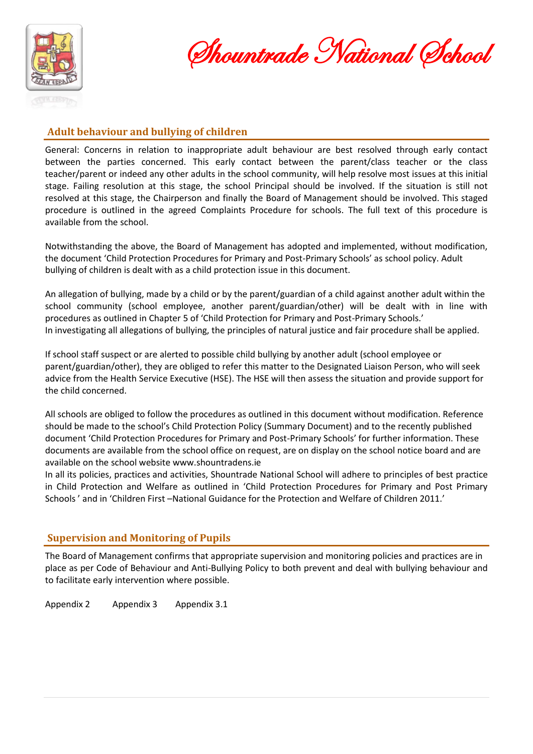

Shountrade National School

# **Adult behaviour and bullying of children**

General: Concerns in relation to inappropriate adult behaviour are best resolved through early contact between the parties concerned. This early contact between the parent/class teacher or the class teacher/parent or indeed any other adults in the school community, will help resolve most issues at this initial stage. Failing resolution at this stage, the school Principal should be involved. If the situation is still not resolved at this stage, the Chairperson and finally the Board of Management should be involved. This staged procedure is outlined in the agreed Complaints Procedure for schools. The full text of this procedure is available from the school.

Notwithstanding the above, the Board of Management has adopted and implemented, without modification, the document 'Child Protection Procedures for Primary and Post-Primary Schools' as school policy. Adult bullying of children is dealt with as a child protection issue in this document.

An allegation of bullying, made by a child or by the parent/guardian of a child against another adult within the school community (school employee, another parent/guardian/other) will be dealt with in line with procedures as outlined in Chapter 5 of 'Child Protection for Primary and Post-Primary Schools.' In investigating all allegations of bullying, the principles of natural justice and fair procedure shall be applied.

If school staff suspect or are alerted to possible child bullying by another adult (school employee or parent/guardian/other), they are obliged to refer this matter to the Designated Liaison Person, who will seek advice from the Health Service Executive (HSE). The HSE will then assess the situation and provide support for the child concerned.

All schools are obliged to follow the procedures as outlined in this document without modification. Reference should be made to the school's Child Protection Policy (Summary Document) and to the recently published document 'Child Protection Procedures for Primary and Post-Primary Schools' for further information. These documents are available from the school office on request, are on display on the school notice board and are available on the school website www.shountradens.ie

In all its policies, practices and activities, Shountrade National School will adhere to principles of best practice in Child Protection and Welfare as outlined in 'Child Protection Procedures for Primary and Post Primary Schools ' and in 'Children First –National Guidance for the Protection and Welfare of Children 2011.'

# **Supervision and Monitoring of Pupils**

The Board of Management confirms that appropriate supervision and monitoring policies and practices are in place as per Code of Behaviour and Anti-Bullying Policy to both prevent and deal with bullying behaviour and to facilitate early intervention where possible.

Appendix 2 Appendix 3 Appendix 3.1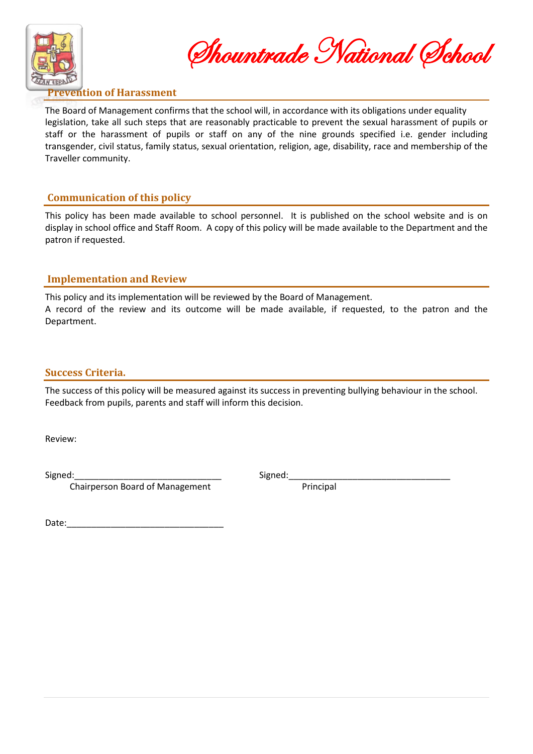

Shountrade National School

#### **Prevention of Harassment**

The Board of Management confirms that the school will, in accordance with its obligations under equality legislation, take all such steps that are reasonably practicable to prevent the sexual harassment of pupils or staff or the harassment of pupils or staff on any of the nine grounds specified i.e. gender including transgender, civil status, family status, sexual orientation, religion, age, disability, race and membership of the Traveller community.

#### **Communication of this policy**

This policy has been made available to school personnel. It is published on the school website and is on display in school office and Staff Room. A copy of this policy will be made available to the Department and the patron if requested.

## **Implementation and Review**

This policy and its implementation will be reviewed by the Board of Management. A record of the review and its outcome will be made available, if requested, to the patron and the Department.

## **Success Criteria.**

The success of this policy will be measured against its success in preventing bullying behaviour in the school. Feedback from pupils, parents and staff will inform this decision.

Review:

Signed:\_\_\_\_\_\_\_\_\_\_\_\_\_\_\_\_\_\_\_\_\_\_\_\_\_\_\_\_\_\_ Signed:\_\_\_\_\_\_\_\_\_\_\_\_\_\_\_\_\_\_\_\_\_\_\_\_\_\_\_\_\_\_\_\_\_

Chairperson Board of Management Principal

Date: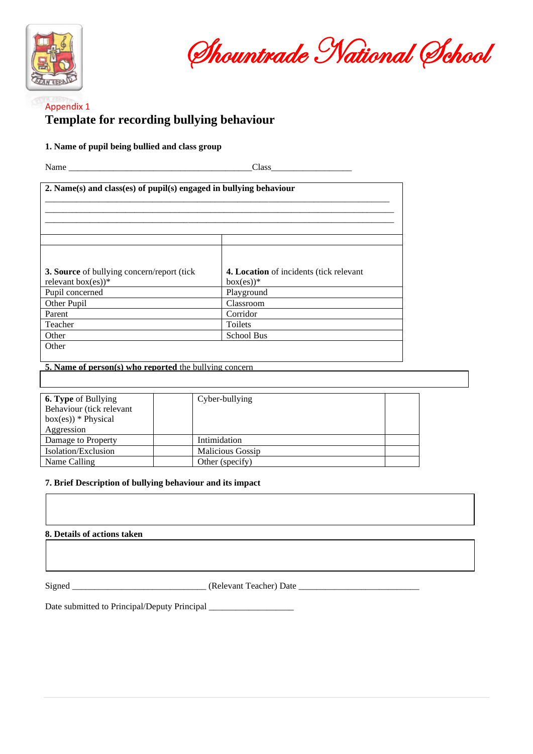

Shountrade National School

# Appendix 1 **Template for recording bullying behaviour**

#### **1. Name of pupil being bullied and class group**

| Name                                                                        | Class                                                        |  |  |
|-----------------------------------------------------------------------------|--------------------------------------------------------------|--|--|
| 2. Name(s) and class(es) of pupil(s) engaged in bullying behaviour          |                                                              |  |  |
|                                                                             |                                                              |  |  |
|                                                                             |                                                              |  |  |
|                                                                             |                                                              |  |  |
| <b>3. Source</b> of bullying concern/report (tick)<br>relevant $box(es))$ * | <b>4. Location</b> of incidents (tick relevant<br>$box(es)*$ |  |  |
| Pupil concerned                                                             | Playground                                                   |  |  |
| Other Pupil                                                                 | Classroom                                                    |  |  |
| Parent                                                                      | Corridor                                                     |  |  |
| Teacher                                                                     | Toilets                                                      |  |  |
| Other                                                                       | <b>School Bus</b>                                            |  |  |
| Other                                                                       |                                                              |  |  |

# **5. Name of person(s) who reported** the bullying concern

| <b>6. Type of Bullying</b> | Cyber-bullying          |  |
|----------------------------|-------------------------|--|
| Behaviour (tick relevant   |                         |  |
| $box(es))$ * Physical      |                         |  |
| Aggression                 |                         |  |
| Damage to Property         | Intimidation            |  |
| Isolation/Exclusion        | <b>Malicious Gossip</b> |  |
| Name Calling               | Other (specify)         |  |

#### **7. Brief Description of bullying behaviour and its impact**

#### **8. Details of actions taken**

Signed \_\_\_\_\_\_\_\_\_\_\_\_\_\_\_\_\_\_\_\_\_\_\_\_\_\_\_\_\_\_ (Relevant Teacher) Date \_\_\_\_\_\_\_\_\_\_\_\_\_\_\_\_\_\_\_\_\_\_\_\_\_\_\_

Date submitted to Principal/Deputy Principal \_\_\_\_\_\_\_\_\_\_\_\_\_\_\_\_\_\_\_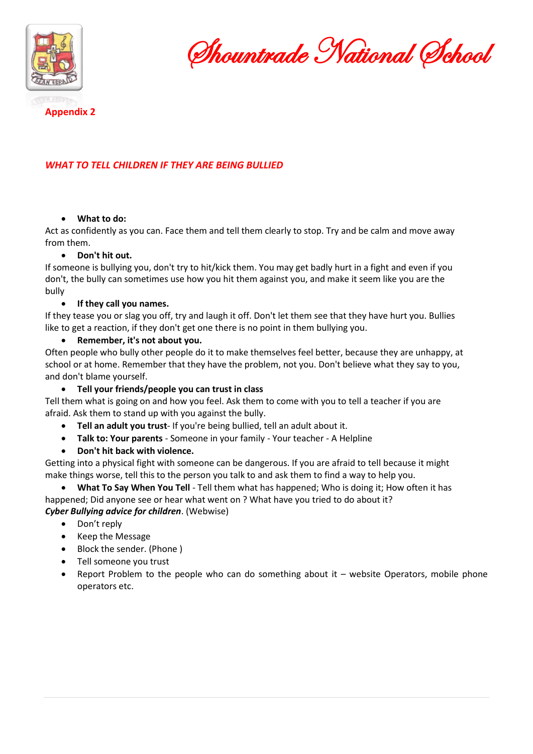

Shountrade National School

#### *WHAT TO TELL CHILDREN IF THEY ARE BEING BULLIED*

#### • **What to do:**

Act as confidently as you can. Face them and tell them clearly to stop. Try and be calm and move away from them.

#### • **Don't hit out.**

If someone is bullying you, don't try to hit/kick them. You may get badly hurt in a fight and even if you don't, the bully can sometimes use how you hit them against you, and make it seem like you are the bully

#### • **If they call you names.**

If they tease you or slag you off, try and laugh it off. Don't let them see that they have hurt you. Bullies like to get a reaction, if they don't get one there is no point in them bullying you.

#### • **Remember, it's not about you.**

Often people who bully other people do it to make themselves feel better, because they are unhappy, at school or at home. Remember that they have the problem, not you. Don't believe what they say to you, and don't blame yourself.

#### • **Tell your friends/people you can trust in class**

Tell them what is going on and how you feel. Ask them to come with you to tell a teacher if you are afraid. Ask them to stand up with you against the bully.

- **Tell an adult you trust** If you're being bullied, tell an adult about it.
- **Talk to: Your parents** Someone in your family Your teacher A Helpline
- **Don't hit back with violence.**

Getting into a physical fight with someone can be dangerous. If you are afraid to tell because it might make things worse, tell this to the person you talk to and ask them to find a way to help you.

• **What To Say When You Tell** - Tell them what has happened; Who is doing it; How often it has happened; Did anyone see or hear what went on ? What have you tried to do about it? *Cyber Bullying advice for children*. (Webwise)

- Don't reply
- Keep the Message
- Block the sender. (Phone )
- Tell someone you trust
- Report Problem to the people who can do something about it  $-$  website Operators, mobile phone operators etc.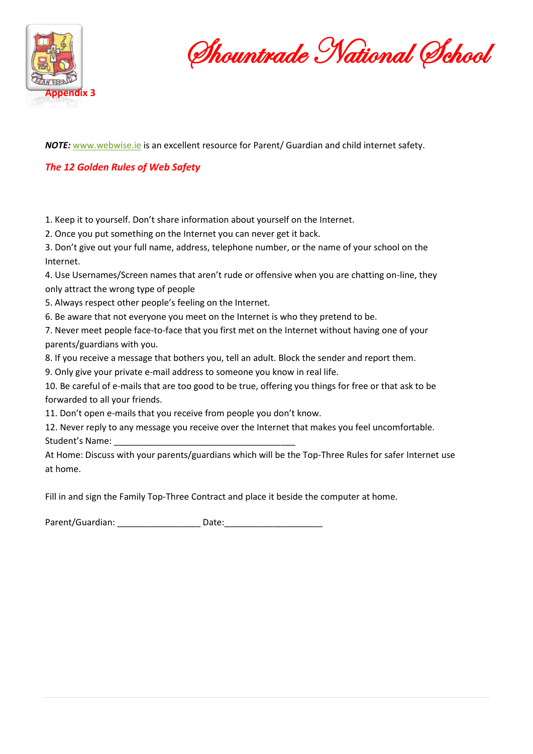

Shountrade National School

*NOTE:* [www.webwise.ie](http://www.webwise.ie/) is an excellent resource for Parent/ Guardian and child internet safety.

# *The 12 Golden Rules of Web Safety*

1. Keep it to yourself. Don't share information about yourself on the Internet.

2. Once you put something on the Internet you can never get it back.

3. Don't give out your full name, address, telephone number, or the name of your school on the Internet.

4. Use Usernames/Screen names that aren't rude or offensive when you are chatting on-line, they only attract the wrong type of people

5. Always respect other people's feeling on the Internet.

6. Be aware that not everyone you meet on the Internet is who they pretend to be.

7. Never meet people face-to-face that you first met on the Internet without having one of your parents/guardians with you.

8. If you receive a message that bothers you, tell an adult. Block the sender and report them.

9. Only give your private e-mail address to someone you know in real life.

10. Be careful of e-mails that are too good to be true, offering you things for free or that ask to be forwarded to all your friends.

11. Don't open e-mails that you receive from people you don't know.

12. Never reply to any message you receive over the Internet that makes you feel uncomfortable.

Student's Name:

At Home: Discuss with your parents/guardians which will be the Top-Three Rules for safer Internet use at home.

Fill in and sign the Family Top-Three Contract and place it beside the computer at home.

Parent/Guardian: \_\_\_\_\_\_\_\_\_\_\_\_\_\_\_\_\_\_\_\_\_\_ Date: \_\_\_\_\_\_\_\_\_\_\_\_\_\_\_\_\_\_\_\_\_\_\_\_\_\_\_\_\_\_\_\_\_\_